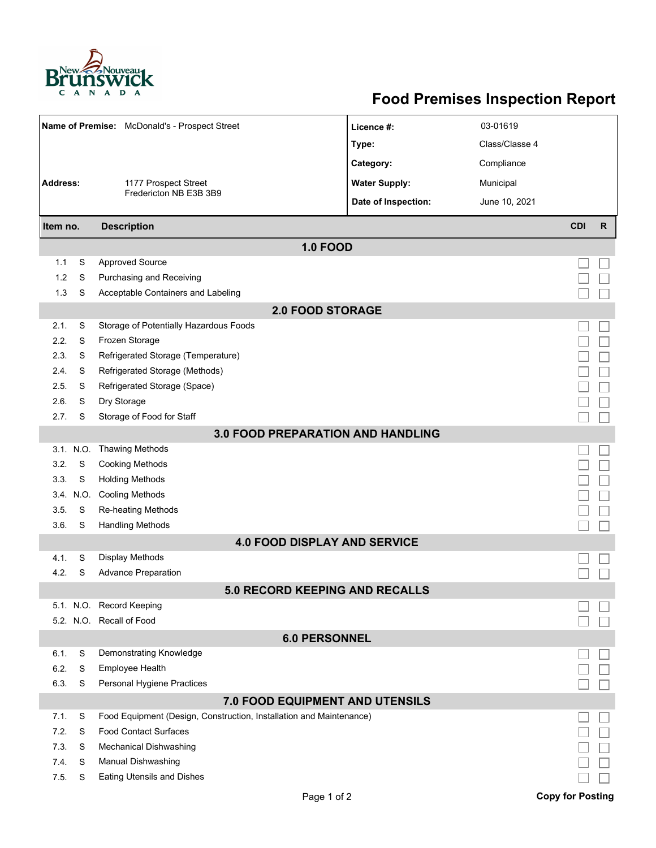

## **Food Premises Inspection Report**

| Name of Premise: McDonald's - Prospect Street |           |                                                                     | Licence #:           | 03-01619       |                         |              |  |  |  |
|-----------------------------------------------|-----------|---------------------------------------------------------------------|----------------------|----------------|-------------------------|--------------|--|--|--|
|                                               |           |                                                                     | Type:                | Class/Classe 4 |                         |              |  |  |  |
|                                               |           |                                                                     | Category:            | Compliance     |                         |              |  |  |  |
| Address:                                      |           | 1177 Prospect Street                                                | <b>Water Supply:</b> | Municipal      |                         |              |  |  |  |
|                                               |           | Fredericton NB E3B 3B9                                              | Date of Inspection:  | June 10, 2021  |                         |              |  |  |  |
| Item no.                                      |           | <b>Description</b>                                                  |                      |                | <b>CDI</b>              | $\mathsf{R}$ |  |  |  |
| <b>1.0 FOOD</b>                               |           |                                                                     |                      |                |                         |              |  |  |  |
| 1.1                                           | S         | <b>Approved Source</b>                                              |                      |                |                         |              |  |  |  |
| 1.2                                           | S         | Purchasing and Receiving                                            |                      |                |                         |              |  |  |  |
| 1.3                                           | S         | Acceptable Containers and Labeling                                  |                      |                |                         |              |  |  |  |
|                                               |           | <b>2.0 FOOD STORAGE</b>                                             |                      |                |                         |              |  |  |  |
| 2.1.                                          | S         | Storage of Potentially Hazardous Foods                              |                      |                |                         |              |  |  |  |
| 2.2.                                          | S         | Frozen Storage                                                      |                      |                |                         |              |  |  |  |
| 2.3.                                          | S         | Refrigerated Storage (Temperature)                                  |                      |                |                         |              |  |  |  |
| 2.4.                                          | S         | Refrigerated Storage (Methods)                                      |                      |                |                         |              |  |  |  |
| 2.5.                                          | S         | Refrigerated Storage (Space)                                        |                      |                |                         |              |  |  |  |
| 2.6.                                          | S         | Dry Storage                                                         |                      |                |                         |              |  |  |  |
| 2.7.                                          | S         | Storage of Food for Staff                                           |                      |                |                         |              |  |  |  |
| 3.0 FOOD PREPARATION AND HANDLING             |           |                                                                     |                      |                |                         |              |  |  |  |
|                                               | 3.1. N.O. | <b>Thawing Methods</b>                                              |                      |                |                         |              |  |  |  |
| 3.2.                                          | S         | <b>Cooking Methods</b>                                              |                      |                |                         |              |  |  |  |
| 3.3.                                          | S         | <b>Holding Methods</b>                                              |                      |                |                         |              |  |  |  |
|                                               | 3.4. N.O. | <b>Cooling Methods</b>                                              |                      |                |                         |              |  |  |  |
| 3.5.                                          | S         | <b>Re-heating Methods</b>                                           |                      |                |                         |              |  |  |  |
| 3.6.                                          | S         | <b>Handling Methods</b>                                             |                      |                |                         |              |  |  |  |
| <b>4.0 FOOD DISPLAY AND SERVICE</b>           |           |                                                                     |                      |                |                         |              |  |  |  |
| 4.1.                                          | S         | <b>Display Methods</b>                                              |                      |                |                         |              |  |  |  |
| 4.2.                                          | S         | <b>Advance Preparation</b>                                          |                      |                |                         |              |  |  |  |
| 5.0 RECORD KEEPING AND RECALLS                |           |                                                                     |                      |                |                         |              |  |  |  |
|                                               |           | 5.1. N.O. Record Keeping                                            |                      |                |                         |              |  |  |  |
|                                               |           | 5.2. N.O. Recall of Food                                            |                      |                |                         |              |  |  |  |
| <b>6.0 PERSONNEL</b>                          |           |                                                                     |                      |                |                         |              |  |  |  |
| 6.1.                                          | S         | Demonstrating Knowledge                                             |                      |                |                         |              |  |  |  |
| 6.2.                                          | S         | Employee Health                                                     |                      |                |                         |              |  |  |  |
| 6.3.                                          | S         | Personal Hygiene Practices                                          |                      |                |                         |              |  |  |  |
| <b>7.0 FOOD EQUIPMENT AND UTENSILS</b>        |           |                                                                     |                      |                |                         |              |  |  |  |
| 7.1.                                          | S         | Food Equipment (Design, Construction, Installation and Maintenance) |                      |                |                         |              |  |  |  |
| 7.2.                                          | S         | <b>Food Contact Surfaces</b>                                        |                      |                |                         |              |  |  |  |
| 7.3<br>7.4.                                   | S<br>S    | Mechanical Dishwashing                                              |                      |                |                         |              |  |  |  |
| 7.5.                                          | S         | Manual Dishwashing<br><b>Eating Utensils and Dishes</b>             |                      |                |                         |              |  |  |  |
|                                               |           |                                                                     |                      |                |                         |              |  |  |  |
|                                               |           | Page 1 of 2                                                         |                      |                | <b>Copy for Posting</b> |              |  |  |  |